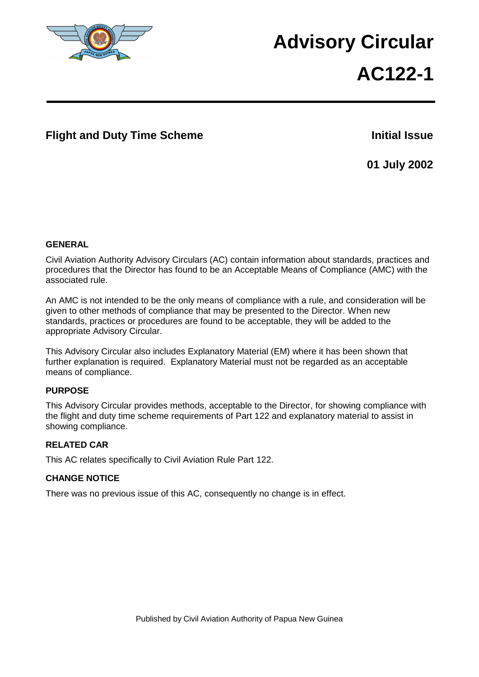

# **Advisory Circular**

# **AC122-1**

# **Flight and Duty Time Scheme Initial Issue**

**01 July 2002**

## **GENERAL**

Civil Aviation Authority Advisory Circulars (AC) contain information about standards, practices and procedures that the Director has found to be an Acceptable Means of Compliance (AMC) with the associated rule.

An AMC is not intended to be the only means of compliance with a rule, and consideration will be given to other methods of compliance that may be presented to the Director. When new standards, practices or procedures are found to be acceptable, they will be added to the appropriate Advisory Circular.

This Advisory Circular also includes Explanatory Material (EM) where it has been shown that further explanation is required. Explanatory Material must not be regarded as an acceptable means of compliance.

## **PURPOSE**

This Advisory Circular provides methods, acceptable to the Director, for showing compliance with the flight and duty time scheme requirements of Part 122 and explanatory material to assist in showing compliance.

#### **RELATED CAR**

This AC relates specifically to Civil Aviation Rule Part 122.

#### **CHANGE NOTICE**

There was no previous issue of this AC, consequently no change is in effect.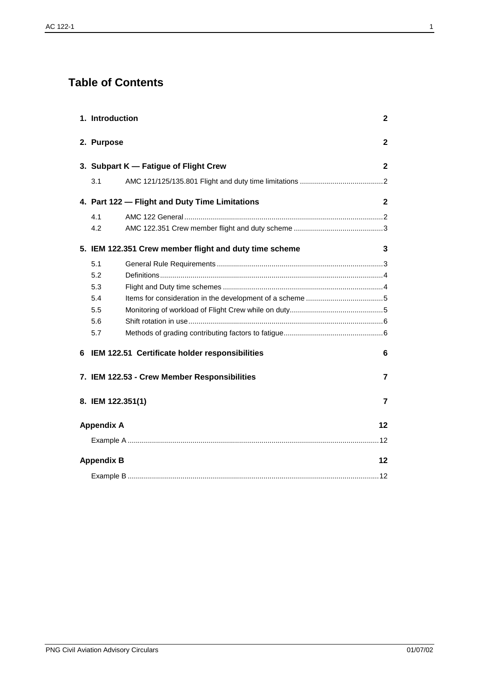# **Table of Contents**

| 1. Introduction   |                                                        | $\mathbf{2}$            |
|-------------------|--------------------------------------------------------|-------------------------|
| 2. Purpose        |                                                        | $\mathbf{2}$            |
|                   | 3. Subpart K - Fatigue of Flight Crew                  | $\mathbf{2}$            |
| 3.1               |                                                        |                         |
|                   | 4. Part 122 - Flight and Duty Time Limitations         | $\mathbf{2}$            |
| 4.1               |                                                        |                         |
| 4.2               |                                                        |                         |
|                   | 5. IEM 122.351 Crew member flight and duty time scheme | 3                       |
| 5.1               |                                                        |                         |
| 5.2               |                                                        |                         |
| 5.3               |                                                        |                         |
| 5.4               |                                                        |                         |
| 5.5               |                                                        |                         |
| 5.6               |                                                        |                         |
| 5.7               |                                                        |                         |
| 6                 | IEM 122.51 Certificate holder responsibilities         | 6                       |
|                   | 7. IEM 122.53 - Crew Member Responsibilities           | $\overline{\mathbf{z}}$ |
|                   | 8. IEM 122.351(1)                                      | $\overline{7}$          |
| <b>Appendix A</b> |                                                        | 12                      |
|                   |                                                        |                         |
| <b>Appendix B</b> |                                                        | 12                      |
|                   |                                                        |                         |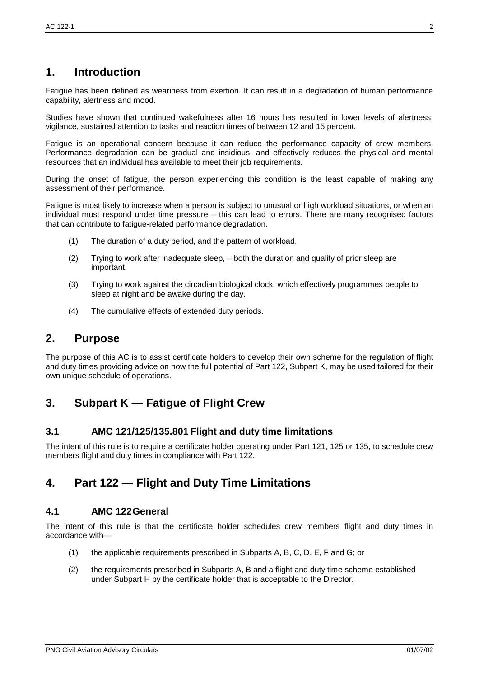# **1. Introduction**

Fatigue has been defined as weariness from exertion. It can result in a degradation of human performance capability, alertness and mood.

Studies have shown that continued wakefulness after 16 hours has resulted in lower levels of alertness, vigilance, sustained attention to tasks and reaction times of between 12 and 15 percent.

Fatigue is an operational concern because it can reduce the performance capacity of crew members. Performance degradation can be gradual and insidious, and effectively reduces the physical and mental resources that an individual has available to meet their job requirements.

During the onset of fatigue, the person experiencing this condition is the least capable of making any assessment of their performance.

Fatigue is most likely to increase when a person is subject to unusual or high workload situations, or when an individual must respond under time pressure – this can lead to errors. There are many recognised factors that can contribute to fatigue-related performance degradation.

- (1) The duration of a duty period, and the pattern of workload.
- (2) Trying to work after inadequate sleep, both the duration and quality of prior sleep are important.
- (3) Trying to work against the circadian biological clock, which effectively programmes people to sleep at night and be awake during the day.
- (4) The cumulative effects of extended duty periods.

# **2. Purpose**

The purpose of this AC is to assist certificate holders to develop their own scheme for the regulation of flight and duty times providing advice on how the full potential of Part 122, Subpart K, may be used tailored for their own unique schedule of operations.

# **3. Subpart K — Fatigue of Flight Crew**

## **3.1 AMC 121/125/135.801 Flight and duty time limitations**

The intent of this rule is to require a certificate holder operating under Part 121, 125 or 135, to schedule crew members flight and duty times in compliance with Part 122.

# **4. Part 122 — Flight and Duty Time Limitations**

#### **4.1 AMC 122General**

The intent of this rule is that the certificate holder schedules crew members flight and duty times in accordance with—

- (1) the applicable requirements prescribed in Subparts A, B, C, D, E, F and G; or
- (2) the requirements prescribed in Subparts A, B and a flight and duty time scheme established under Subpart H by the certificate holder that is acceptable to the Director.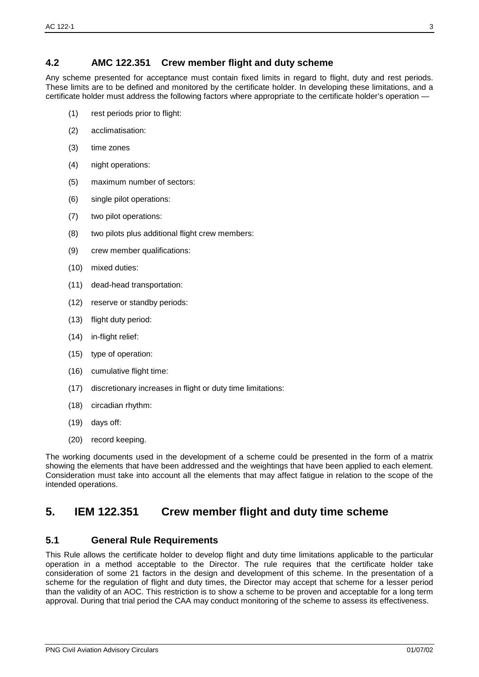## **4.2 AMC 122.351 Crew member flight and duty scheme**

Any scheme presented for acceptance must contain fixed limits in regard to flight, duty and rest periods. These limits are to be defined and monitored by the certificate holder. In developing these limitations, and a certificate holder must address the following factors where appropriate to the certificate holder's operation —

- (1) rest periods prior to flight:
- (2) acclimatisation:
- (3) time zones
- (4) night operations:
- (5) maximum number of sectors:
- (6) single pilot operations:
- (7) two pilot operations:
- (8) two pilots plus additional flight crew members:
- (9) crew member qualifications:
- (10) mixed duties:
- (11) dead-head transportation:
- (12) reserve or standby periods:
- (13) flight duty period:
- (14) in-flight relief:
- (15) type of operation:
- (16) cumulative flight time:
- (17) discretionary increases in flight or duty time limitations:
- (18) circadian rhythm:
- (19) days off:
- (20) record keeping.

The working documents used in the development of a scheme could be presented in the form of a matrix showing the elements that have been addressed and the weightings that have been applied to each element. Consideration must take into account all the elements that may affect fatigue in relation to the scope of the intended operations.

# **5. IEM 122.351 Crew member flight and duty time scheme**

## **5.1 General Rule Requirements**

This Rule allows the certificate holder to develop flight and duty time limitations applicable to the particular operation in a method acceptable to the Director. The rule requires that the certificate holder take consideration of some 21 factors in the design and development of this scheme. In the presentation of a scheme for the regulation of flight and duty times, the Director may accept that scheme for a lesser period than the validity of an AOC. This restriction is to show a scheme to be proven and acceptable for a long term approval. During that trial period the CAA may conduct monitoring of the scheme to assess its effectiveness.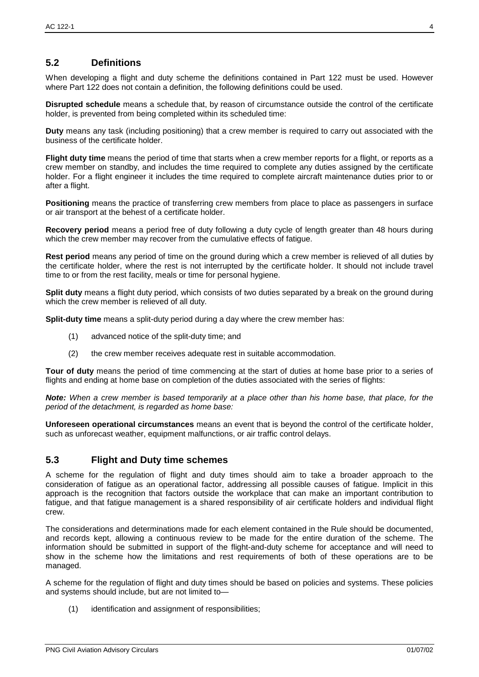## **5.2 Definitions**

When developing a flight and duty scheme the definitions contained in Part 122 must be used. However where Part 122 does not contain a definition, the following definitions could be used.

**Disrupted schedule** means a schedule that, by reason of circumstance outside the control of the certificate holder, is prevented from being completed within its scheduled time:

**Duty** means any task (including positioning) that a crew member is required to carry out associated with the business of the certificate holder.

**Flight duty time** means the period of time that starts when a crew member reports for a flight, or reports as a crew member on standby, and includes the time required to complete any duties assigned by the certificate holder. For a flight engineer it includes the time required to complete aircraft maintenance duties prior to or after a flight.

**Positioning** means the practice of transferring crew members from place to place as passengers in surface or air transport at the behest of a certificate holder.

**Recovery period** means a period free of duty following a duty cycle of length greater than 48 hours during which the crew member may recover from the cumulative effects of fatigue.

**Rest period** means any period of time on the ground during which a crew member is relieved of all duties by the certificate holder, where the rest is not interrupted by the certificate holder. It should not include travel time to or from the rest facility, meals or time for personal hygiene.

**Split duty** means a flight duty period, which consists of two duties separated by a break on the ground during which the crew member is relieved of all duty.

**Split-duty time** means a split-duty period during a day where the crew member has:

- (1) advanced notice of the split-duty time; and
- (2) the crew member receives adequate rest in suitable accommodation.

**Tour of duty** means the period of time commencing at the start of duties at home base prior to a series of flights and ending at home base on completion of the duties associated with the series of flights:

*Note: When a crew member is based temporarily at a place other than his home base, that place, for the period of the detachment, is regarded as home base:* 

**Unforeseen operational circumstances** means an event that is beyond the control of the certificate holder, such as unforecast weather, equipment malfunctions, or air traffic control delays.

#### **5.3 Flight and Duty time schemes**

A scheme for the regulation of flight and duty times should aim to take a broader approach to the consideration of fatigue as an operational factor, addressing all possible causes of fatigue. Implicit in this approach is the recognition that factors outside the workplace that can make an important contribution to fatigue, and that fatigue management is a shared responsibility of air certificate holders and individual flight crew.

The considerations and determinations made for each element contained in the Rule should be documented, and records kept, allowing a continuous review to be made for the entire duration of the scheme. The information should be submitted in support of the flight-and-duty scheme for acceptance and will need to show in the scheme how the limitations and rest requirements of both of these operations are to be managed.

A scheme for the regulation of flight and duty times should be based on policies and systems. These policies and systems should include, but are not limited to—

(1) identification and assignment of responsibilities;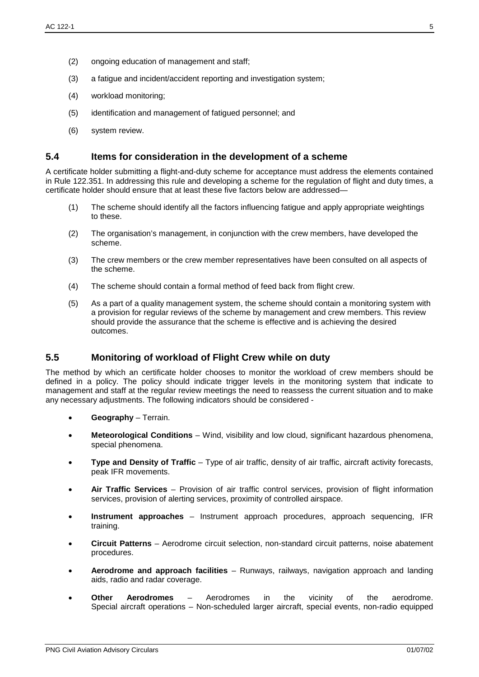- (2) ongoing education of management and staff;
- (3) a fatigue and incident/accident reporting and investigation system;
- (4) workload monitoring;
- (5) identification and management of fatigued personnel; and
- (6) system review.

#### **5.4 Items for consideration in the development of a scheme**

A certificate holder submitting a flight-and-duty scheme for acceptance must address the elements contained in Rule 122.351. In addressing this rule and developing a scheme for the regulation of flight and duty times, a certificate holder should ensure that at least these five factors below are addressed—

- (1) The scheme should identify all the factors influencing fatigue and apply appropriate weightings to these.
- (2) The organisation's management, in conjunction with the crew members, have developed the scheme.
- (3) The crew members or the crew member representatives have been consulted on all aspects of the scheme.
- (4) The scheme should contain a formal method of feed back from flight crew.
- (5) As a part of a quality management system, the scheme should contain a monitoring system with a provision for regular reviews of the scheme by management and crew members. This review should provide the assurance that the scheme is effective and is achieving the desired outcomes.

## **5.5 Monitoring of workload of Flight Crew while on duty**

The method by which an certificate holder chooses to monitor the workload of crew members should be defined in a policy. The policy should indicate trigger levels in the monitoring system that indicate to management and staff at the regular review meetings the need to reassess the current situation and to make any necessary adjustments. The following indicators should be considered -

- **Geography** Terrain.
- **Meteorological Conditions** Wind, visibility and low cloud, significant hazardous phenomena, special phenomena.
- **Type and Density of Traffic** Type of air traffic, density of air traffic, aircraft activity forecasts, peak IFR movements.
- **Air Traffic Services** Provision of air traffic control services, provision of flight information services, provision of alerting services, proximity of controlled airspace.
- **Instrument approaches** Instrument approach procedures, approach sequencing, IFR training.
- **Circuit Patterns** Aerodrome circuit selection, non-standard circuit patterns, noise abatement procedures.
- **Aerodrome and approach facilities** Runways, railways, navigation approach and landing aids, radio and radar coverage.
- **Other Aerodromes** Aerodromes in the vicinity of the aerodrome. Special aircraft operations – Non-scheduled larger aircraft, special events, non-radio equipped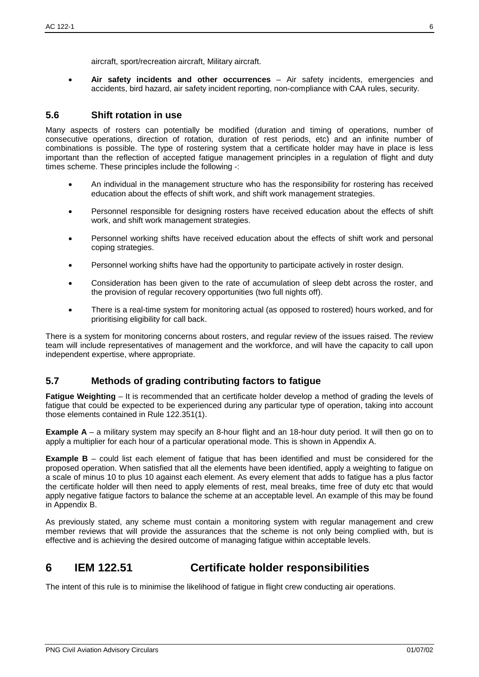• **Air safety incidents and other occurrences** – Air safety incidents, emergencies and accidents, bird hazard, air safety incident reporting, non-compliance with CAA rules, security.

## **5.6 Shift rotation in use**

Many aspects of rosters can potentially be modified (duration and timing of operations, number of consecutive operations, direction of rotation, duration of rest periods, etc) and an infinite number of combinations is possible. The type of rostering system that a certificate holder may have in place is less important than the reflection of accepted fatigue management principles in a regulation of flight and duty times scheme. These principles include the following -:

- An individual in the management structure who has the responsibility for rostering has received education about the effects of shift work, and shift work management strategies.
- Personnel responsible for designing rosters have received education about the effects of shift work, and shift work management strategies.
- Personnel working shifts have received education about the effects of shift work and personal coping strategies.
- Personnel working shifts have had the opportunity to participate actively in roster design.
- Consideration has been given to the rate of accumulation of sleep debt across the roster, and the provision of regular recovery opportunities (two full nights off).
- There is a real-time system for monitoring actual (as opposed to rostered) hours worked, and for prioritising eligibility for call back.

There is a system for monitoring concerns about rosters, and regular review of the issues raised. The review team will include representatives of management and the workforce, and will have the capacity to call upon independent expertise, where appropriate.

## **5.7 Methods of grading contributing factors to fatigue**

**Fatigue Weighting** – It is recommended that an certificate holder develop a method of grading the levels of fatigue that could be expected to be experienced during any particular type of operation, taking into account those elements contained in Rule 122.351(1).

**Example A** – a military system may specify an 8-hour flight and an 18-hour duty period. It will then go on to apply a multiplier for each hour of a particular operational mode. This is shown in Appendix A.

**Example B** – could list each element of fatigue that has been identified and must be considered for the proposed operation. When satisfied that all the elements have been identified, apply a weighting to fatigue on a scale of minus 10 to plus 10 against each element. As every element that adds to fatigue has a plus factor the certificate holder will then need to apply elements of rest, meal breaks, time free of duty etc that would apply negative fatigue factors to balance the scheme at an acceptable level. An example of this may be found in Appendix B.

As previously stated, any scheme must contain a monitoring system with regular management and crew member reviews that will provide the assurances that the scheme is not only being complied with, but is effective and is achieving the desired outcome of managing fatigue within acceptable levels.

# **6 IEM 122.51 Certificate holder responsibilities**

The intent of this rule is to minimise the likelihood of fatigue in flight crew conducting air operations.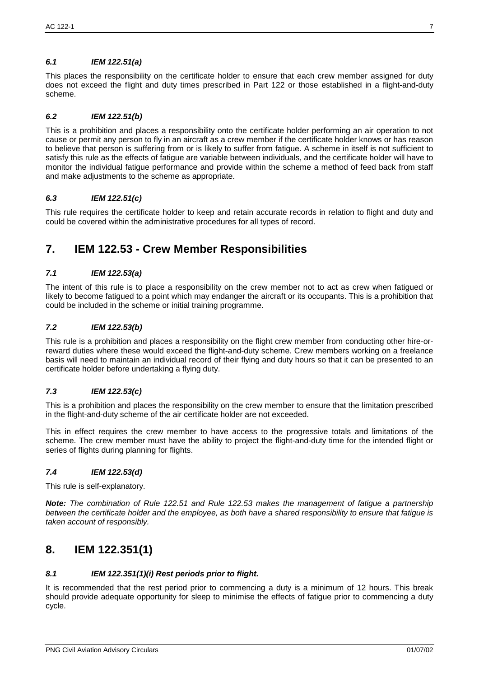#### *6.1 IEM 122.51(a)*

This places the responsibility on the certificate holder to ensure that each crew member assigned for duty does not exceed the flight and duty times prescribed in Part 122 or those established in a flight-and-duty scheme.

#### *6.2 IEM 122.51(b)*

This is a prohibition and places a responsibility onto the certificate holder performing an air operation to not cause or permit any person to fly in an aircraft as a crew member if the certificate holder knows or has reason to believe that person is suffering from or is likely to suffer from fatigue. A scheme in itself is not sufficient to satisfy this rule as the effects of fatigue are variable between individuals, and the certificate holder will have to monitor the individual fatigue performance and provide within the scheme a method of feed back from staff and make adjustments to the scheme as appropriate.

#### *6.3 IEM 122.51(c)*

This rule requires the certificate holder to keep and retain accurate records in relation to flight and duty and could be covered within the administrative procedures for all types of record.

# **7. IEM 122.53 - Crew Member Responsibilities**

#### *7.1 IEM 122.53(a)*

The intent of this rule is to place a responsibility on the crew member not to act as crew when fatigued or likely to become fatigued to a point which may endanger the aircraft or its occupants. This is a prohibition that could be included in the scheme or initial training programme.

#### *7.2 IEM 122.53(b)*

This rule is a prohibition and places a responsibility on the flight crew member from conducting other hire-orreward duties where these would exceed the flight-and-duty scheme. Crew members working on a freelance basis will need to maintain an individual record of their flying and duty hours so that it can be presented to an certificate holder before undertaking a flying duty.

#### *7.3 IEM 122.53(c)*

This is a prohibition and places the responsibility on the crew member to ensure that the limitation prescribed in the flight-and-duty scheme of the air certificate holder are not exceeded.

This in effect requires the crew member to have access to the progressive totals and limitations of the scheme. The crew member must have the ability to project the flight-and-duty time for the intended flight or series of flights during planning for flights.

#### *7.4 IEM 122.53(d)*

This rule is self-explanatory.

*Note: The combination of Rule 122.51 and Rule 122.53 makes the management of fatigue a partnership between the certificate holder and the employee, as both have a shared responsibility to ensure that fatigue is taken account of responsibly.*

# **8. IEM 122.351(1)**

#### *8.1 IEM 122.351(1)(i) Rest periods prior to flight.*

It is recommended that the rest period prior to commencing a duty is a minimum of 12 hours. This break should provide adequate opportunity for sleep to minimise the effects of fatigue prior to commencing a duty cycle.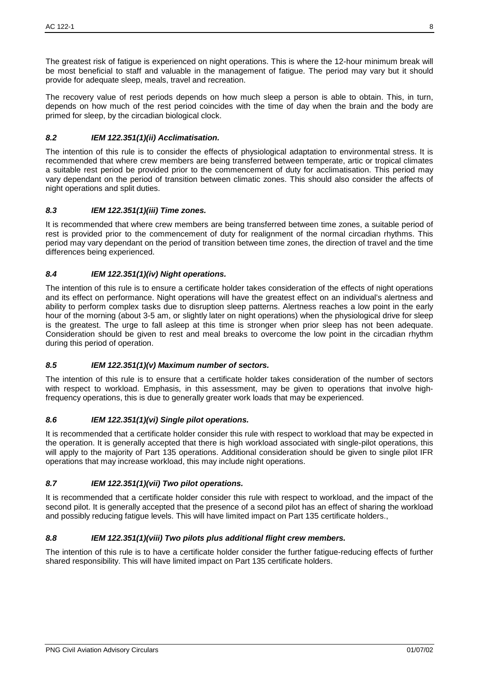The greatest risk of fatigue is experienced on night operations. This is where the 12-hour minimum break will be most beneficial to staff and valuable in the management of fatigue. The period may vary but it should provide for adequate sleep, meals, travel and recreation.

The recovery value of rest periods depends on how much sleep a person is able to obtain. This, in turn, depends on how much of the rest period coincides with the time of day when the brain and the body are primed for sleep, by the circadian biological clock.

#### *8.2 IEM 122.351(1)(ii) Acclimatisation.*

The intention of this rule is to consider the effects of physiological adaptation to environmental stress. It is recommended that where crew members are being transferred between temperate, artic or tropical climates a suitable rest period be provided prior to the commencement of duty for acclimatisation. This period may vary dependant on the period of transition between climatic zones. This should also consider the affects of night operations and split duties.

#### *8.3 IEM 122.351(1)(iii) Time zones.*

It is recommended that where crew members are being transferred between time zones, a suitable period of rest is provided prior to the commencement of duty for realignment of the normal circadian rhythms. This period may vary dependant on the period of transition between time zones, the direction of travel and the time differences being experienced.

#### *8.4 IEM 122.351(1)(iv) Night operations.*

The intention of this rule is to ensure a certificate holder takes consideration of the effects of night operations and its effect on performance. Night operations will have the greatest effect on an individual's alertness and ability to perform complex tasks due to disruption sleep patterns. Alertness reaches a low point in the early hour of the morning (about 3-5 am, or slightly later on night operations) when the physiological drive for sleep is the greatest. The urge to fall asleep at this time is stronger when prior sleep has not been adequate. Consideration should be given to rest and meal breaks to overcome the low point in the circadian rhythm during this period of operation.

#### *8.5 IEM 122.351(1)(v) Maximum number of sectors.*

The intention of this rule is to ensure that a certificate holder takes consideration of the number of sectors with respect to workload. Emphasis, in this assessment, may be given to operations that involve highfrequency operations, this is due to generally greater work loads that may be experienced.

#### *8.6 IEM 122.351(1)(vi) Single pilot operations.*

It is recommended that a certificate holder consider this rule with respect to workload that may be expected in the operation. It is generally accepted that there is high workload associated with single-pilot operations, this will apply to the majority of Part 135 operations. Additional consideration should be given to single pilot IFR operations that may increase workload, this may include night operations.

#### *8.7 IEM 122.351(1)(vii) Two pilot operations.*

It is recommended that a certificate holder consider this rule with respect to workload, and the impact of the second pilot. It is generally accepted that the presence of a second pilot has an effect of sharing the workload and possibly reducing fatigue levels. This will have limited impact on Part 135 certificate holders.,

#### *8.8 IEM 122.351(1)(viii) Two pilots plus additional flight crew members.*

The intention of this rule is to have a certificate holder consider the further fatigue-reducing effects of further shared responsibility. This will have limited impact on Part 135 certificate holders.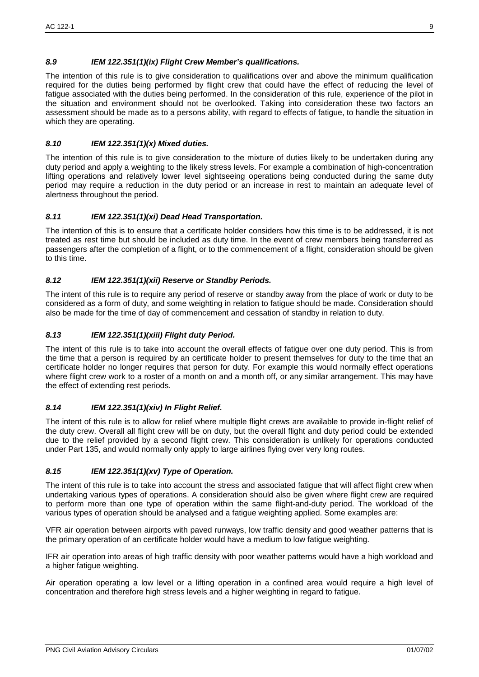#### *8.9 IEM 122.351(1)(ix) Flight Crew Member's qualifications.*

The intention of this rule is to give consideration to qualifications over and above the minimum qualification required for the duties being performed by flight crew that could have the effect of reducing the level of fatigue associated with the duties being performed. In the consideration of this rule, experience of the pilot in the situation and environment should not be overlooked. Taking into consideration these two factors an assessment should be made as to a persons ability, with regard to effects of fatigue, to handle the situation in which they are operating.

#### *8.10 IEM 122.351(1)(x) Mixed duties.*

The intention of this rule is to give consideration to the mixture of duties likely to be undertaken during any duty period and apply a weighting to the likely stress levels. For example a combination of high-concentration lifting operations and relatively lower level sightseeing operations being conducted during the same duty period may require a reduction in the duty period or an increase in rest to maintain an adequate level of alertness throughout the period.

#### *8.11 IEM 122.351(1)(xi) Dead Head Transportation.*

The intention of this is to ensure that a certificate holder considers how this time is to be addressed, it is not treated as rest time but should be included as duty time. In the event of crew members being transferred as passengers after the completion of a flight, or to the commencement of a flight, consideration should be given to this time.

#### *8.12 IEM 122.351(1)(xii) Reserve or Standby Periods.*

The intent of this rule is to require any period of reserve or standby away from the place of work or duty to be considered as a form of duty, and some weighting in relation to fatigue should be made. Consideration should also be made for the time of day of commencement and cessation of standby in relation to duty.

#### *8.13 IEM 122.351(1)(xiii) Flight duty Period.*

The intent of this rule is to take into account the overall effects of fatigue over one duty period. This is from the time that a person is required by an certificate holder to present themselves for duty to the time that an certificate holder no longer requires that person for duty. For example this would normally effect operations where flight crew work to a roster of a month on and a month off, or any similar arrangement. This may have the effect of extending rest periods.

#### *8.14 IEM 122.351(1)(xiv) In Flight Relief.*

The intent of this rule is to allow for relief where multiple flight crews are available to provide in-flight relief of the duty crew. Overall all flight crew will be on duty, but the overall flight and duty period could be extended due to the relief provided by a second flight crew. This consideration is unlikely for operations conducted under Part 135, and would normally only apply to large airlines flying over very long routes.

#### *8.15 IEM 122.351(1)(xv) Type of Operation.*

The intent of this rule is to take into account the stress and associated fatigue that will affect flight crew when undertaking various types of operations. A consideration should also be given where flight crew are required to perform more than one type of operation within the same flight-and-duty period. The workload of the various types of operation should be analysed and a fatigue weighting applied. Some examples are:

VFR air operation between airports with paved runways, low traffic density and good weather patterns that is the primary operation of an certificate holder would have a medium to low fatigue weighting.

IFR air operation into areas of high traffic density with poor weather patterns would have a high workload and a higher fatigue weighting.

Air operation operating a low level or a lifting operation in a confined area would require a high level of concentration and therefore high stress levels and a higher weighting in regard to fatigue.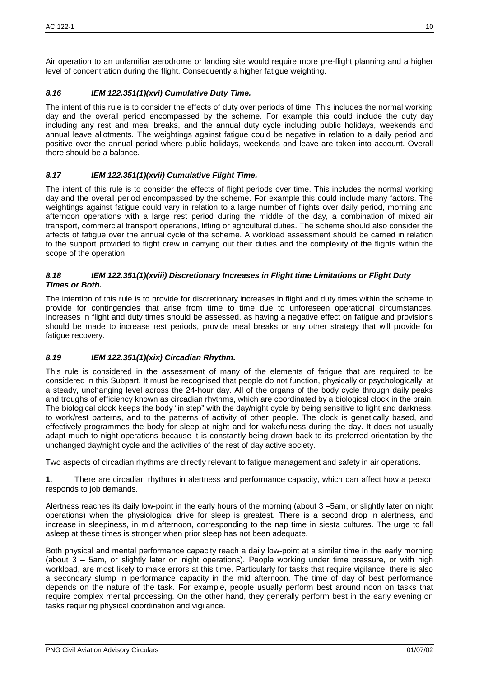Air operation to an unfamiliar aerodrome or landing site would require more pre-flight planning and a higher level of concentration during the flight. Consequently a higher fatigue weighting.

#### *8.16 IEM 122.351(1)(xvi) Cumulative Duty Time.*

The intent of this rule is to consider the effects of duty over periods of time. This includes the normal working day and the overall period encompassed by the scheme. For example this could include the duty day including any rest and meal breaks, and the annual duty cycle including public holidays, weekends and annual leave allotments. The weightings against fatigue could be negative in relation to a daily period and positive over the annual period where public holidays, weekends and leave are taken into account. Overall there should be a balance.

#### *8.17 IEM 122.351(1)(xvii) Cumulative Flight Time.*

The intent of this rule is to consider the effects of flight periods over time. This includes the normal working day and the overall period encompassed by the scheme. For example this could include many factors. The weightings against fatigue could vary in relation to a large number of flights over daily period, morning and afternoon operations with a large rest period during the middle of the day, a combination of mixed air transport, commercial transport operations, lifting or agricultural duties. The scheme should also consider the affects of fatigue over the annual cycle of the scheme. A workload assessment should be carried in relation to the support provided to flight crew in carrying out their duties and the complexity of the flights within the scope of the operation.

#### *8.18 IEM 122.351(1)(xviii) Discretionary Increases in Flight time Limitations or Flight Duty Times or Both.*

The intention of this rule is to provide for discretionary increases in flight and duty times within the scheme to provide for contingencies that arise from time to time due to unforeseen operational circumstances. Increases in flight and duty times should be assessed, as having a negative effect on fatigue and provisions should be made to increase rest periods, provide meal breaks or any other strategy that will provide for fatigue recovery.

#### *8.19 IEM 122.351(1)(xix) Circadian Rhythm.*

This rule is considered in the assessment of many of the elements of fatigue that are required to be considered in this Subpart. It must be recognised that people do not function, physically or psychologically, at a steady, unchanging level across the 24-hour day. All of the organs of the body cycle through daily peaks and troughs of efficiency known as circadian rhythms, which are coordinated by a biological clock in the brain. The biological clock keeps the body "in step" with the day/night cycle by being sensitive to light and darkness, to work/rest patterns, and to the patterns of activity of other people. The clock is genetically based, and effectively programmes the body for sleep at night and for wakefulness during the day. It does not usually adapt much to night operations because it is constantly being drawn back to its preferred orientation by the unchanged day/night cycle and the activities of the rest of day active society.

Two aspects of circadian rhythms are directly relevant to fatigue management and safety in air operations.

**1.** There are circadian rhythms in alertness and performance capacity, which can affect how a person responds to job demands.

Alertness reaches its daily low-point in the early hours of the morning (about 3 –5am, or slightly later on night operations) when the physiological drive for sleep is greatest. There is a second drop in alertness, and increase in sleepiness, in mid afternoon, corresponding to the nap time in siesta cultures. The urge to fall asleep at these times is stronger when prior sleep has not been adequate.

Both physical and mental performance capacity reach a daily low-point at a similar time in the early morning (about 3 – 5am, or slightly later on night operations). People working under time pressure, or with high workload, are most likely to make errors at this time. Particularly for tasks that require vigilance, there is also a secondary slump in performance capacity in the mid afternoon. The time of day of best performance depends on the nature of the task. For example, people usually perform best around noon on tasks that require complex mental processing. On the other hand, they generally perform best in the early evening on tasks requiring physical coordination and vigilance.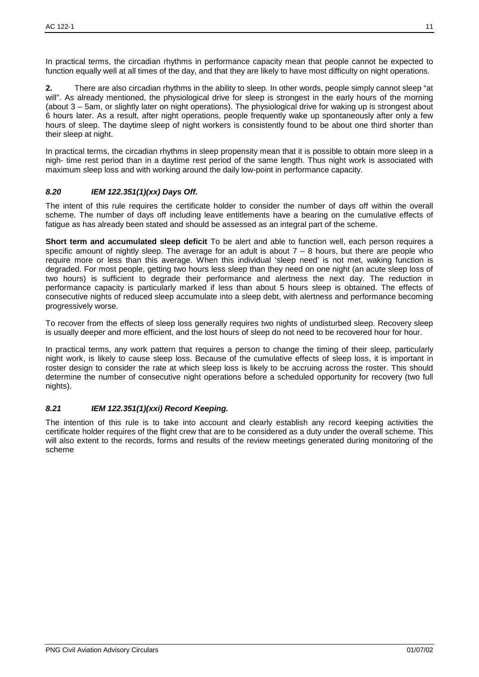**2.** There are also circadian rhythms in the ability to sleep. In other words, people simply cannot sleep "at will". As already mentioned, the physiological drive for sleep is strongest in the early hours of the morning (about 3 – 5am, or slightly later on night operations). The physiological drive for waking up is strongest about 6 hours later. As a result, after night operations, people frequently wake up spontaneously after only a few hours of sleep. The daytime sleep of night workers is consistently found to be about one third shorter than their sleep at night.

In practical terms, the circadian rhythms in sleep propensity mean that it is possible to obtain more sleep in a nigh- time rest period than in a daytime rest period of the same length. Thus night work is associated with maximum sleep loss and with working around the daily low-point in performance capacity.

## *8.20 IEM 122.351(1)(xx) Days Off.*

The intent of this rule requires the certificate holder to consider the number of days off within the overall scheme. The number of days off including leave entitlements have a bearing on the cumulative effects of fatigue as has already been stated and should be assessed as an integral part of the scheme.

**Short term and accumulated sleep deficit** To be alert and able to function well, each person requires a specific amount of nightly sleep. The average for an adult is about  $7 - 8$  hours, but there are people who require more or less than this average. When this individual 'sleep need' is not met, waking function is degraded. For most people, getting two hours less sleep than they need on one night (an acute sleep loss of two hours) is sufficient to degrade their performance and alertness the next day. The reduction in performance capacity is particularly marked if less than about 5 hours sleep is obtained. The effects of consecutive nights of reduced sleep accumulate into a sleep debt, with alertness and performance becoming progressively worse.

To recover from the effects of sleep loss generally requires two nights of undisturbed sleep. Recovery sleep is usually deeper and more efficient, and the lost hours of sleep do not need to be recovered hour for hour.

In practical terms, any work pattern that requires a person to change the timing of their sleep, particularly night work, is likely to cause sleep loss. Because of the cumulative effects of sleep loss, it is important in roster design to consider the rate at which sleep loss is likely to be accruing across the roster. This should determine the number of consecutive night operations before a scheduled opportunity for recovery (two full nights).

## *8.21 IEM 122.351(1)(xxi) Record Keeping.*

The intention of this rule is to take into account and clearly establish any record keeping activities the certificate holder requires of the flight crew that are to be considered as a duty under the overall scheme. This will also extent to the records, forms and results of the review meetings generated during monitoring of the scheme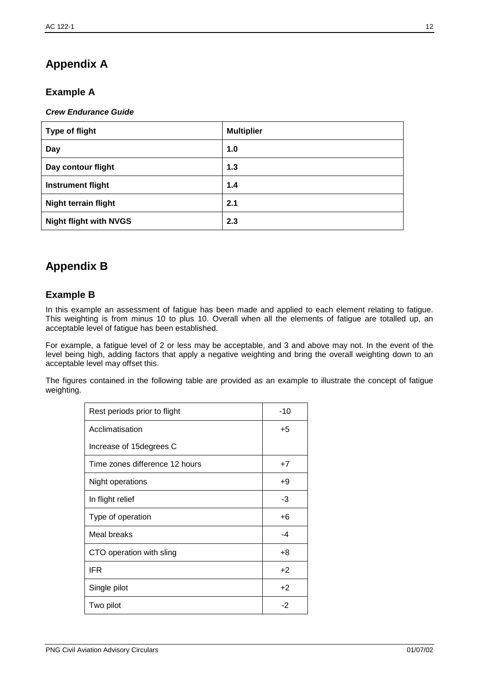# **Appendix A**

# **Example A**

#### *Crew Endurance Guide*

| <b>Type of flight</b>         | <b>Multiplier</b> |
|-------------------------------|-------------------|
| Day                           | 1.0               |
| Day contour flight            | 1.3               |
| <b>Instrument flight</b>      | 1.4               |
| <b>Night terrain flight</b>   | 2.1               |
| <b>Night flight with NVGS</b> | 2.3               |

# **Appendix B**

## **Example B**

In this example an assessment of fatigue has been made and applied to each element relating to fatigue. This weighting is from minus 10 to plus 10. Overall when all the elements of fatigue are totalled up, an acceptable level of fatigue has been established.

For example, a fatigue level of 2 or less may be acceptable, and 3 and above may not. In the event of the level being high, adding factors that apply a negative weighting and bring the overall weighting down to an acceptable level may offset this.

The figures contained in the following table are provided as an example to illustrate the concept of fatigue weighting.

| Rest periods prior to flight   | $-10$ |
|--------------------------------|-------|
| Acclimatisation                | $+5$  |
| Increase of 15 degrees C       |       |
| Time zones difference 12 hours | $+7$  |
| Night operations               | $+9$  |
| In flight relief               | -3    |
| Type of operation              | $+6$  |
| Meal breaks                    | -4    |
| CTO operation with sling       | +8    |
| <b>IFR</b>                     | $+2$  |
| Single pilot                   | $+2$  |
| Two pilot                      | $-2$  |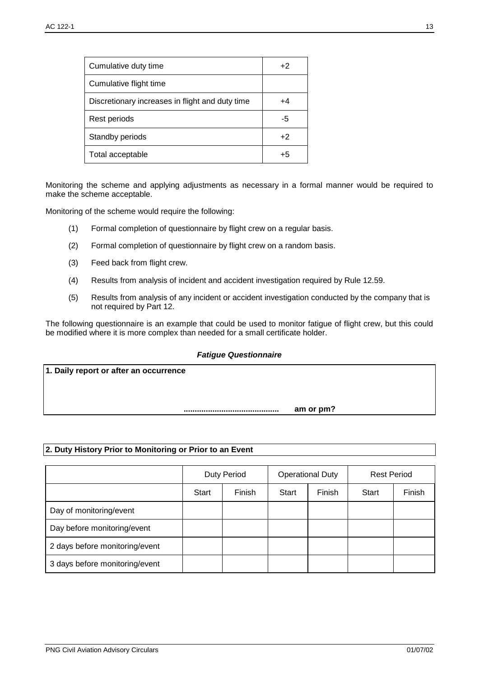| Cumulative duty time                            | +2   |
|-------------------------------------------------|------|
| Cumulative flight time                          |      |
| Discretionary increases in flight and duty time | +4   |
| Rest periods                                    | -5   |
| Standby periods                                 | $+2$ |
| Total acceptable                                | +5   |

Monitoring the scheme and applying adjustments as necessary in a formal manner would be required to make the scheme acceptable.

Monitoring of the scheme would require the following:

- (1) Formal completion of questionnaire by flight crew on a regular basis.
- (2) Formal completion of questionnaire by flight crew on a random basis.
- (3) Feed back from flight crew.
- (4) Results from analysis of incident and accident investigation required by Rule 12.59.
- (5) Results from analysis of any incident or accident investigation conducted by the company that is not required by Part 12.

The following questionnaire is an example that could be used to monitor fatigue of flight crew, but this could be modified where it is more complex than needed for a small certificate holder.

#### *Fatigue Questionnaire*

**1. Daily report or after an occurrence ........................................... am or pm?**

#### **2. Duty History Prior to Monitoring or Prior to an Event**

|                                | <b>Duty Period</b> |        | <b>Operational Duty</b> |        | <b>Rest Period</b> |        |
|--------------------------------|--------------------|--------|-------------------------|--------|--------------------|--------|
|                                | Start              | Finish | Start                   | Finish | Start              | Finish |
| Day of monitoring/event        |                    |        |                         |        |                    |        |
| Day before monitoring/event    |                    |        |                         |        |                    |        |
| 2 days before monitoring/event |                    |        |                         |        |                    |        |
| 3 days before monitoring/event |                    |        |                         |        |                    |        |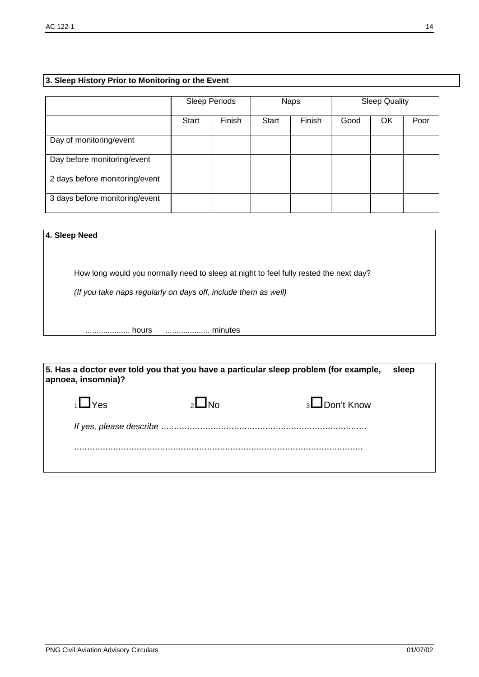## **3. Sleep History Prior to Monitoring or the Event**

|                                |       | Sleep Periods |              | <b>Naps</b> |      | <b>Sleep Quality</b> |      |
|--------------------------------|-------|---------------|--------------|-------------|------|----------------------|------|
|                                | Start | Finish        | <b>Start</b> | Finish      | Good | ΟK                   | Poor |
| Day of monitoring/event        |       |               |              |             |      |                      |      |
| Day before monitoring/event    |       |               |              |             |      |                      |      |
| 2 days before monitoring/event |       |               |              |             |      |                      |      |
| 3 days before monitoring/event |       |               |              |             |      |                      |      |

#### **4. Sleep Need**

How long would you normally need to sleep at night to feel fully rested the next day?

*(If you take naps regularly on days off, include them as well)*

.................... hours .................... minutes

| 5. Has a doctor ever told you that you have a particular sleep problem (for example,<br>sleep<br>apnoea, insomnia)? |  |                     |  |  |  |
|---------------------------------------------------------------------------------------------------------------------|--|---------------------|--|--|--|
| <b>i</b> _ <b>T</b> Yes                                                                                             |  | $3 \Box$ Don't Know |  |  |  |
|                                                                                                                     |  |                     |  |  |  |
|                                                                                                                     |  |                     |  |  |  |